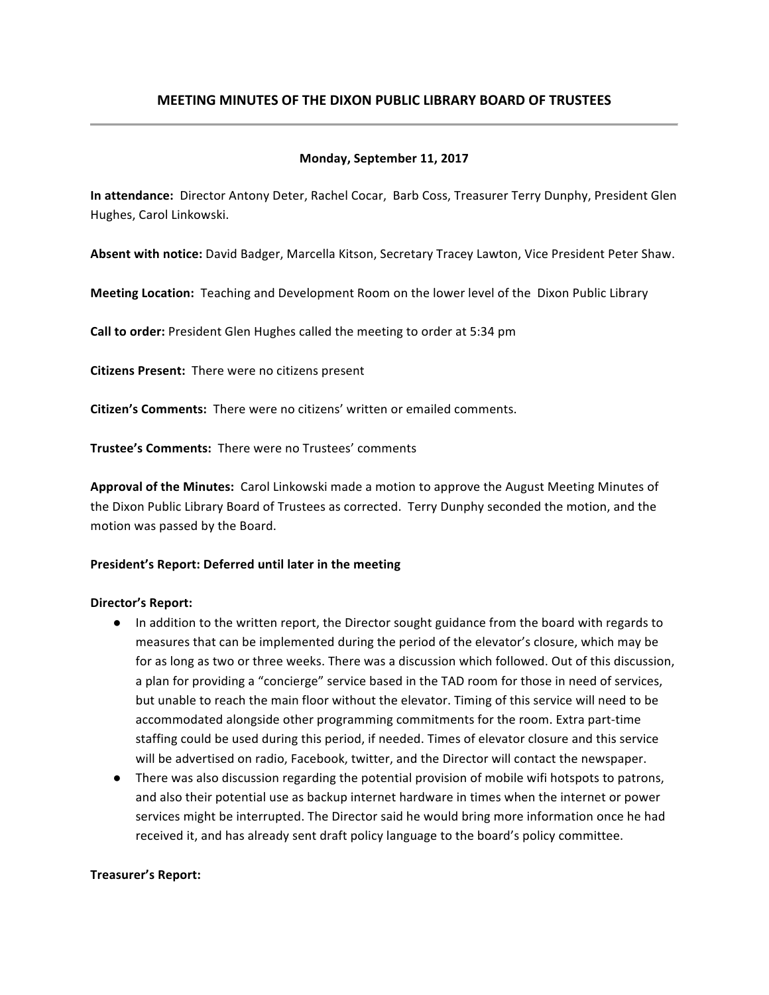# **MEETING MINUTES OF THE DIXON PUBLIC LIBRARY BOARD OF TRUSTEES**

### **Monday, September 11, 2017**

**In attendance:** Director Antony Deter, Rachel Cocar, Barb Coss, Treasurer Terry Dunphy, President Glen Hughes, Carol Linkowski.

Absent with notice: David Badger, Marcella Kitson, Secretary Tracey Lawton, Vice President Peter Shaw.

**Meeting Location:** Teaching and Development Room on the lower level of the Dixon Public Library

**Call to order:** President Glen Hughes called the meeting to order at 5:34 pm

**Citizens Present:** There were no citizens present

**Citizen's Comments:** There were no citizens' written or emailed comments.

**Trustee's Comments: There were no Trustees' comments** 

**Approval of the Minutes:** Carol Linkowski made a motion to approve the August Meeting Minutes of the Dixon Public Library Board of Trustees as corrected. Terry Dunphy seconded the motion, and the motion was passed by the Board.

#### President's Report: Deferred until later in the meeting

#### Director's Report:

- In addition to the written report, the Director sought guidance from the board with regards to measures that can be implemented during the period of the elevator's closure, which may be for as long as two or three weeks. There was a discussion which followed. Out of this discussion, a plan for providing a "concierge" service based in the TAD room for those in need of services, but unable to reach the main floor without the elevator. Timing of this service will need to be accommodated alongside other programming commitments for the room. Extra part-time staffing could be used during this period, if needed. Times of elevator closure and this service will be advertised on radio, Facebook, twitter, and the Director will contact the newspaper.
- There was also discussion regarding the potential provision of mobile wifi hotspots to patrons, and also their potential use as backup internet hardware in times when the internet or power services might be interrupted. The Director said he would bring more information once he had received it, and has already sent draft policy language to the board's policy committee.

#### **Treasurer's Report:**